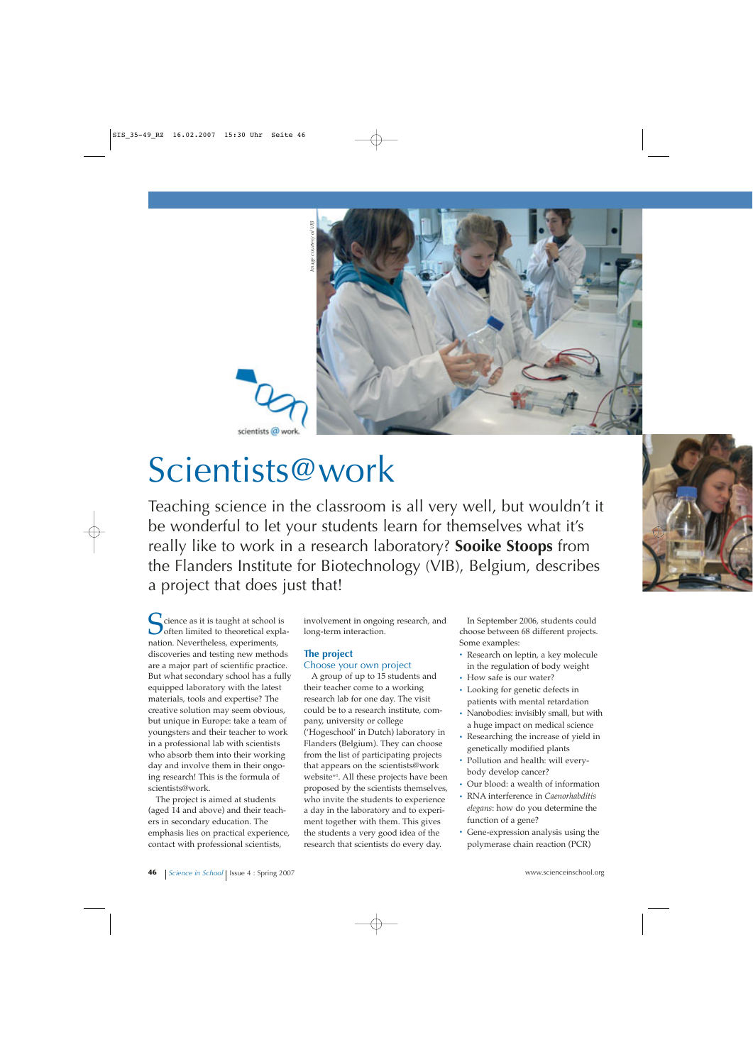

# Scientists@work

Teaching science in the classroom is all very well, but wouldn't it be wonderful to let your students learn for themselves what it's really like to work in a research laboratory? **Sooike Stoops** from the Flanders Institute for Biotechnology (VIB), Belgium, describes **a**<br>**a project that does just that does just that!<br>
<b>A Cientists@work**<br> **SCientists@W**<br> **IFRENT ISS**<br> **IFRENT ISS**<br> **IFRENT ISS**<br> **IFRENT ISS**<br> **IFRENT ISS**<br> **IFRENT ISS**<br> **IFRENT ISS**<br> **IFRENT ISS**<br> **IFRENT ISS**<br> **IFR** 

Science as it is taught at school is<br>
often limited to theoretical expla-<br>
nation Novembeless experiments nation. Nevertheless, experiments, discoveries and testing new methods are a major part of scientific practice. But what secondary school has a fully equipped laboratory with the latest materials, tools and expertise? The creative solution may seem obvious, but unique in Europe: take a team of youngsters and their teacher to work in a professional lab with scientists who absorb them into their working day and involve them in their ongoing research! This is the formula of scientists@work.

The project is aimed at students (aged 14 and above) and their teachers in secondary education. The emphasis lies on practical experience, contact with professional scientists,

involvement in ongoing research, and long-term interaction.

## **The project**

Choose your own project A group of up to 15 students and their teacher come to a working research lab for one day. The visit could be to a research institute, company, university or college ('Hogeschool' in Dutch) laboratory in Flanders (Belgium). They can choose from the list of participating projects that appears on the scientists@work websitew1. All these projects have been proposed by the scientists themselves, who invite the students to experience a day in the laboratory and to experiment together with them. This gives the students a very good idea of the research that scientists do every day.

In September 2006, students could choose between 68 different projects. Some examples:

- **·** Research on leptin, a key molecule in the regulation of body weight
- **·** How safe is our water?
- **·** Looking for genetic defects in patients with mental retardation
- **·** Nanobodies: invisibly small, but with a huge impact on medical science
- **·** Researching the increase of yield in genetically modified plants
- **·** Pollution and health: will everybody develop cancer?
- **·** Our blood: a wealth of information
- **·** RNA interference in *Caenorhabditis elegans*: how do you determine the function of a gene?
- **·** Gene-expression analysis using the polymerase chain reaction (PCR)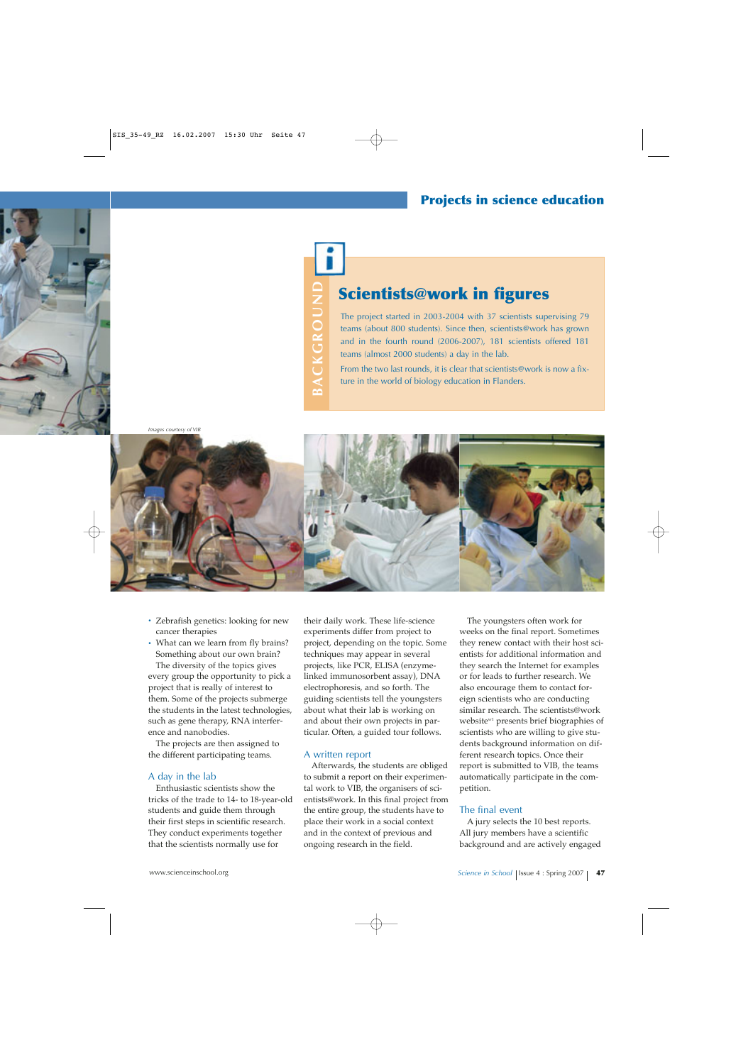BACKGROUND **BACKGROUND**

# **Scientists@work in figures**

The project started in 2003-2004 with 37 scientists supervising 79 teams (about 800 students). Since then, scientists@work has grown and in the fourth round (2006-2007), 181 scientists offered 181 teams (almost 2000 students) a day in the lab.

From the two last rounds, it is clear that scientists@work is now a fixture in the world of biology education in Flanders.



- **·** Zebrafish genetics: looking for new cancer therapies
- **·** What can we learn from fly brains? Something about our own brain?

The diversity of the topics gives every group the opportunity to pick a project that is really of interest to them. Some of the projects submerge the students in the latest technologies, such as gene therapy, RNA interference and nanobodies.

The projects are then assigned to the different participating teams.

#### A day in the lab

Enthusiastic scientists show the tricks of the trade to 14- to 18-year-old students and guide them through their first steps in scientific research. They conduct experiments together that the scientists normally use for

their daily work. These life-science experiments differ from project to project, depending on the topic. Some techniques may appear in several projects, like PCR, ELISA (enzymelinked immunosorbent assay), DNA electrophoresis, and so forth. The guiding scientists tell the youngsters about what their lab is working on and about their own projects in particular. Often, a guided tour follows.

#### A written report

Afterwards, the students are obliged to submit a report on their experimental work to VIB, the organisers of scientists@work. In this final project from the entire group, the students have to place their work in a social context and in the context of previous and ongoing research in the field.

The youngsters often work for weeks on the final report. Sometimes they renew contact with their host scientists for additional information and they search the Internet for examples or for leads to further research. We also encourage them to contact foreign scientists who are conducting similar research. The scientists@work websitew1 presents brief biographies of scientists who are willing to give students background information on different research topics. Once their report is submitted to VIB, the teams automatically participate in the competition.

#### The final event

A jury selects the 10 best reports. All jury members have a scientific background and are actively engaged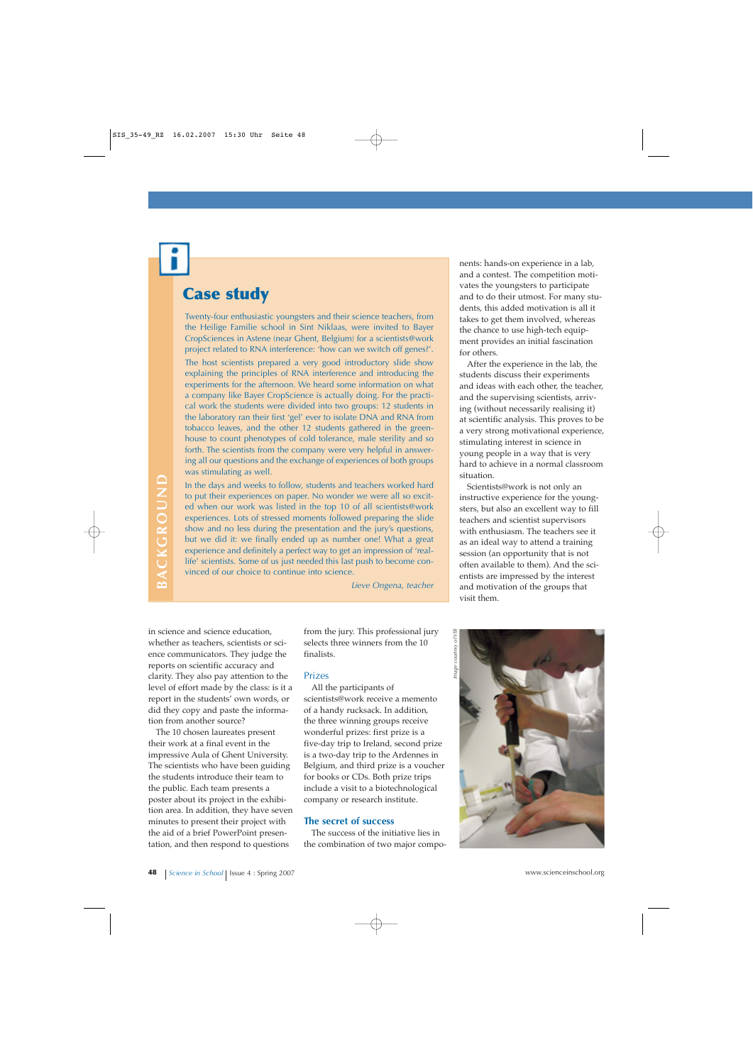## **Case study**

Twenty-four enthusiastic youngsters and their science teachers, from the Heilige Familie school in Sint Niklaas, were invited to Bayer CropSciences in Astene (near Ghent, Belgium) for a scientists@work project related to RNA interference: 'how can we switch off genes?'.

The host scientists prepared a very good introductory slide show explaining the principles of RNA interference and introducing the experiments for the afternoon. We heard some information on what a company like Bayer CropScience is actually doing. For the practical work the students were divided into two groups: 12 students in the laboratory ran their first 'gel' ever to isolate DNA and RNA from tobacco leaves, and the other 12 students gathered in the greenhouse to count phenotypes of cold tolerance, male sterility and so forth. The scientists from the company were very helpful in answering all our questions and the exchange of experiences of both groups was stimulating as well.

In the days and weeks to follow, students and teachers worked hard to put their experiences on paper. No wonder we were all so excited when our work was listed in the top 10 of all scientists@work experiences. Lots of stressed moments followed preparing the slide show and no less during the presentation and the jury's questions, but we did it: we finally ended up as number one! What a great experience and definitely a perfect way to get an impression of 'reallife' scientists. Some of us just needed this last push to become convinced of our choice to continue into science.

*Lieve Ongena, teacher*

in science and science education, whether as teachers, scientists or science communicators. They judge the reports on scientific accuracy and clarity. They also pay attention to the level of effort made by the class: is it a report in the students' own words, or did they copy and paste the information from another source?

The 10 chosen laureates present their work at a final event in the impressive Aula of Ghent University. The scientists who have been guiding the students introduce their team to the public. Each team presents a poster about its project in the exhibition area. In addition, they have seven minutes to present their project with the aid of a brief PowerPoint presentation, and then respond to questions

from the jury. This professional jury selects three winners from the 10 finalists.

#### Prizes

All the participants of scientists@work receive a memento of a handy rucksack. In addition, the three winning groups receive wonderful prizes: first prize is a five-day trip to Ireland, second prize is a two-day trip to the Ardennes in Belgium, and third prize is a voucher for books or CDs. Both prize trips include a visit to a biotechnological company or research institute.

#### **The secret of success**

The success of the initiative lies in the combination of two major components: hands-on experience in a lab, and a contest. The competition motivates the youngsters to participate and to do their utmost. For many students, this added motivation is all it takes to get them involved, whereas the chance to use high-tech equipment provides an initial fascination for others.

After the experience in the lab, the students discuss their experiments and ideas with each other, the teacher, and the supervising scientists, arriving (without necessarily realising it) at scientific analysis. This proves to be a very strong motivational experience, stimulating interest in science in young people in a way that is very hard to achieve in a normal classroom situation.

Scientists@work is not only an instructive experience for the youngsters, but also an excellent way to fill teachers and scientist supervisors with enthusiasm. The teachers see it as an ideal way to attend a training session (an opportunity that is not often available to them). And the scientists are impressed by the interest and motivation of the groups that visit them.